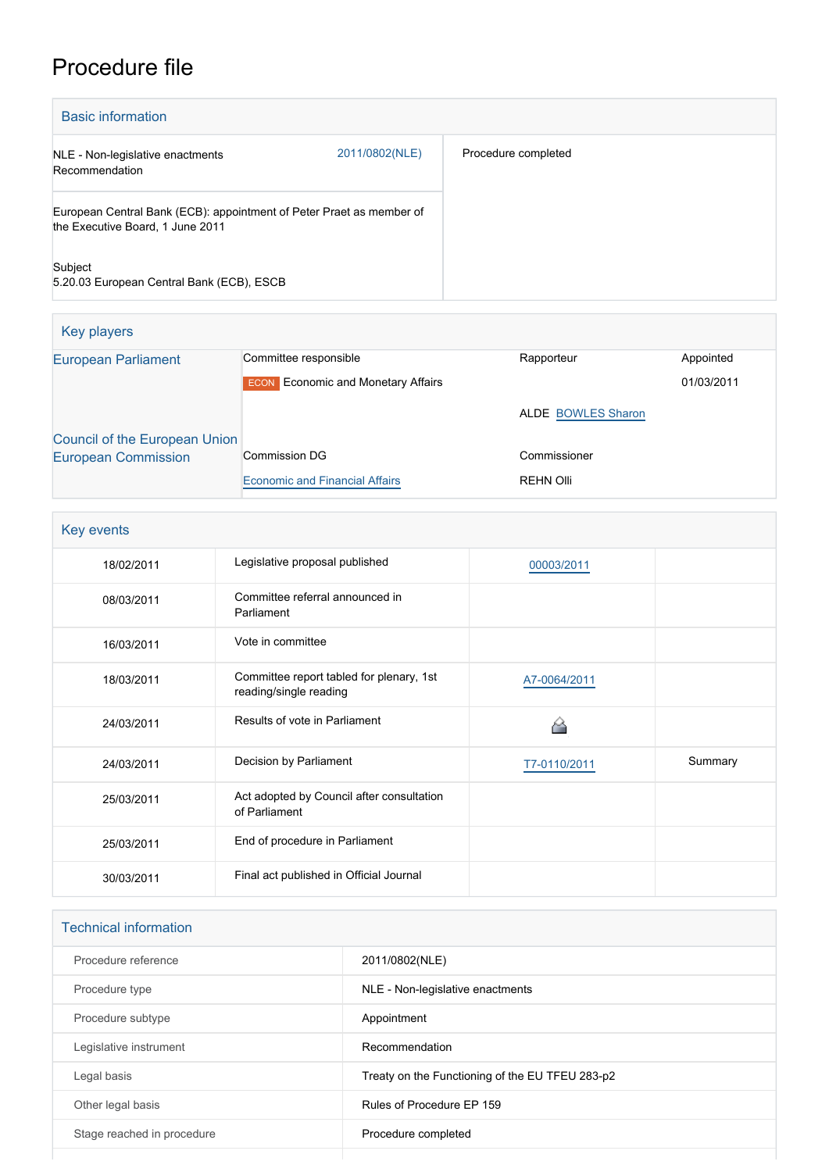## Procedure file

| <b>Basic information</b>                                                                                 |                |                     |  |  |
|----------------------------------------------------------------------------------------------------------|----------------|---------------------|--|--|
| NLE - Non-legislative enactments<br>Recommendation                                                       | 2011/0802(NLE) | Procedure completed |  |  |
| European Central Bank (ECB): appointment of Peter Praet as member of<br>the Executive Board, 1 June 2011 |                |                     |  |  |
| Subject<br>5.20.03 European Central Bank (ECB), ESCB                                                     |                |                     |  |  |

| <b>Key players</b>            |                                           |                           |            |
|-------------------------------|-------------------------------------------|---------------------------|------------|
| <b>European Parliament</b>    | Committee responsible                     | Rapporteur                | Appointed  |
|                               | <b>ECON</b> Economic and Monetary Affairs |                           | 01/03/2011 |
|                               |                                           | <b>ALDE BOWLES Sharon</b> |            |
| Council of the European Union |                                           |                           |            |
| <b>European Commission</b>    | <b>Commission DG</b>                      | Commissioner              |            |
|                               | <b>Economic and Financial Affairs</b>     | <b>REHN Olli</b>          |            |

| Key events |                                                                    |              |         |  |
|------------|--------------------------------------------------------------------|--------------|---------|--|
| 18/02/2011 | Legislative proposal published                                     | 00003/2011   |         |  |
| 08/03/2011 | Committee referral announced in<br>Parliament                      |              |         |  |
| 16/03/2011 | Vote in committee                                                  |              |         |  |
| 18/03/2011 | Committee report tabled for plenary, 1st<br>reading/single reading | A7-0064/2011 |         |  |
| 24/03/2011 | Results of vote in Parliament                                      |              |         |  |
| 24/03/2011 | Decision by Parliament                                             | T7-0110/2011 | Summary |  |
| 25/03/2011 | Act adopted by Council after consultation<br>of Parliament         |              |         |  |
| 25/03/2011 | End of procedure in Parliament                                     |              |         |  |
| 30/03/2011 | Final act published in Official Journal                            |              |         |  |

| <b>Technical information</b> |                                                 |  |  |
|------------------------------|-------------------------------------------------|--|--|
| Procedure reference          | 2011/0802(NLE)                                  |  |  |
| Procedure type               | NLE - Non-legislative enactments                |  |  |
| Procedure subtype            | Appointment                                     |  |  |
| Legislative instrument       | Recommendation                                  |  |  |
| Legal basis                  | Treaty on the Functioning of the EU TFEU 283-p2 |  |  |
| Other legal basis            | Rules of Procedure EP 159                       |  |  |
| Stage reached in procedure   | Procedure completed                             |  |  |
|                              |                                                 |  |  |